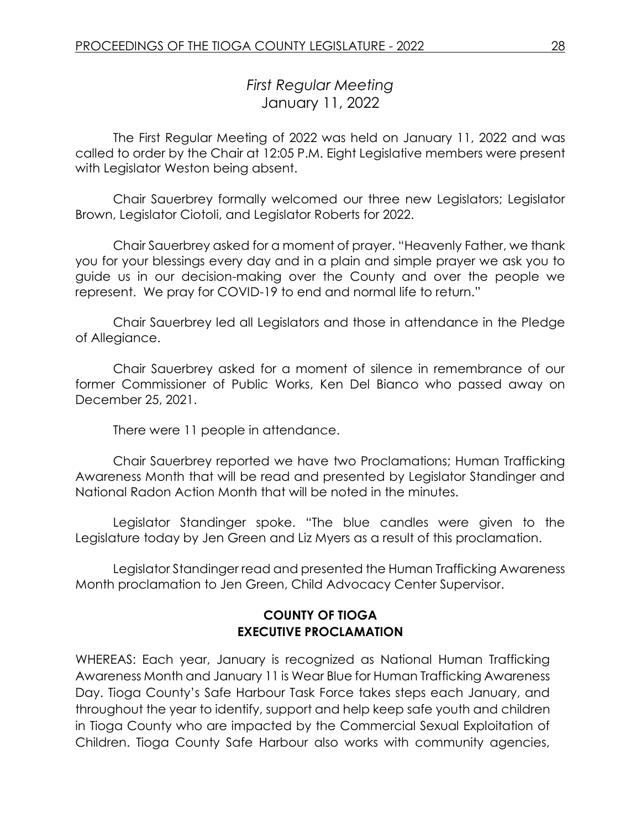# *First Regular Meeting* January 11, 2022

The First Regular Meeting of 2022 was held on January 11, 2022 and was called to order by the Chair at 12:05 P.M. Eight Legislative members were present with Legislator Weston being absent.

Chair Sauerbrey formally welcomed our three new Legislators; Legislator Brown, Legislator Ciotoli, and Legislator Roberts for 2022.

Chair Sauerbrey asked for a moment of prayer. "Heavenly Father, we thank you for your blessings every day and in a plain and simple prayer we ask you to guide us in our decision-making over the County and over the people we represent. We pray for COVID-19 to end and normal life to return."

Chair Sauerbrey led all Legislators and those in attendance in the Pledge of Allegiance.

Chair Sauerbrey asked for a moment of silence in remembrance of our former Commissioner of Public Works, Ken Del Bianco who passed away on December 25, 2021.

There were 11 people in attendance.

Chair Sauerbrey reported we have two Proclamations; Human Trafficking Awareness Month that will be read and presented by Legislator Standinger and National Radon Action Month that will be noted in the minutes.

Legislator Standinger spoke. "The blue candles were given to the Legislature today by Jen Green and Liz Myers as a result of this proclamation.

Legislator Standinger read and presented the Human Trafficking Awareness Month proclamation to Jen Green, Child Advocacy Center Supervisor.

#### **COUNTY OF TIOGA EXECUTIVE PROCLAMATION**

WHEREAS: Each year, January is recognized as National Human Trafficking Awareness Month and January 11 is Wear Blue for Human Trafficking Awareness Day. Tioga County's Safe Harbour Task Force takes steps each January, and throughout the year to identify, support and help keep safe youth and children in Tioga County who are impacted by the Commercial Sexual Exploitation of Children. Tioga County Safe Harbour also works with community agencies,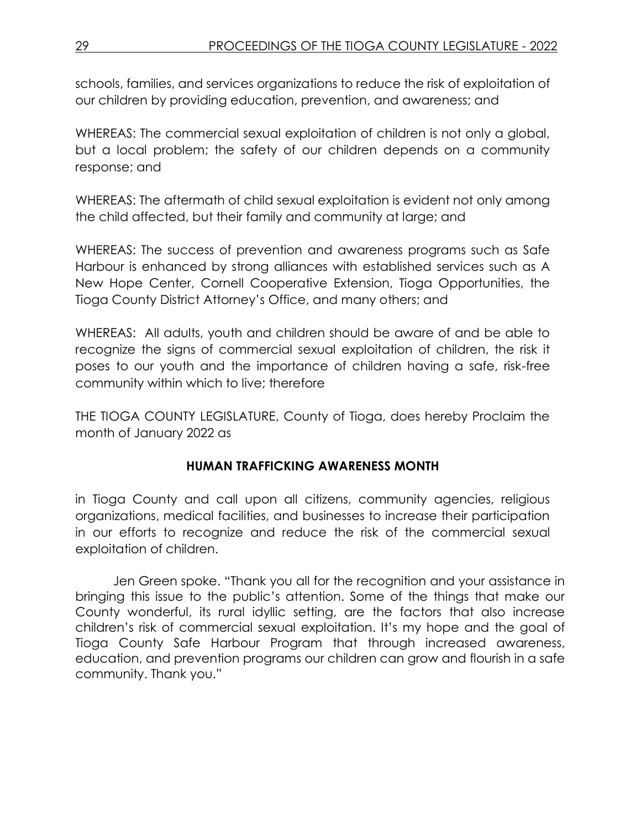schools, families, and services organizations to reduce the risk of exploitation of our children by providing education, prevention, and awareness; and

WHEREAS: The commercial sexual exploitation of children is not only a global, but a local problem; the safety of our children depends on a community response; and

WHEREAS: The aftermath of child sexual exploitation is evident not only among the child affected, but their family and community at large; and

WHEREAS: The success of prevention and awareness programs such as Safe Harbour is enhanced by strong alliances with established services such as A New Hope Center, Cornell Cooperative Extension, Tioga Opportunities, the Tioga County District Attorney's Office, and many others; and

WHEREAS: All adults, youth and children should be aware of and be able to recognize the signs of commercial sexual exploitation of children, the risk it poses to our youth and the importance of children having a safe, risk-free community within which to live; therefore

THE TIOGA COUNTY LEGISLATURE, County of Tioga, does hereby Proclaim the month of January 2022 as

# **HUMAN TRAFFICKING AWARENESS MONTH**

in Tioga County and call upon all citizens, community agencies, religious organizations, medical facilities, and businesses to increase their participation in our efforts to recognize and reduce the risk of the commercial sexual exploitation of children.

Jen Green spoke. "Thank you all for the recognition and your assistance in bringing this issue to the public's attention. Some of the things that make our County wonderful, its rural idyllic setting, are the factors that also increase children's risk of commercial sexual exploitation. It's my hope and the goal of Tioga County Safe Harbour Program that through increased awareness, education, and prevention programs our children can grow and flourish in a safe community. Thank you."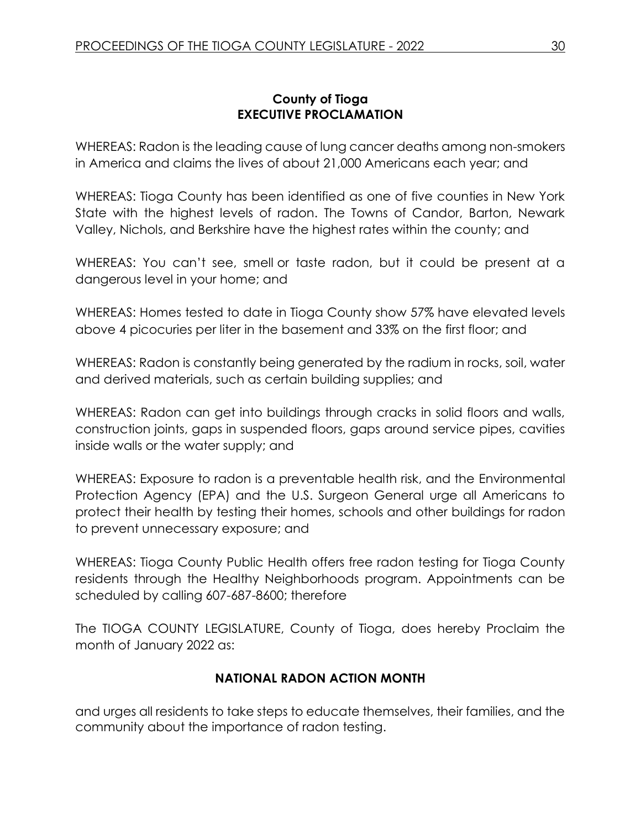## **County of Tioga EXECUTIVE PROCLAMATION**

WHEREAS: Radon is the leading cause of lung cancer deaths among non-smokers in America and claims the lives of about 21,000 Americans each year; and

WHEREAS: Tioga County has been identified as one of five counties in New York State with the highest levels of radon. The Towns of Candor, Barton, Newark Valley, Nichols, and Berkshire have the highest rates within the county; and

WHEREAS: You can't see, smell or taste radon, but it could be present at a dangerous level in your home; and

WHEREAS: Homes tested to date in Tioga County show 57% have elevated levels above 4 picocuries per liter in the basement and 33% on the first floor; and

WHEREAS: Radon is constantly being generated by the radium in rocks, soil, water and derived materials, such as certain building supplies; and

WHEREAS: Radon can get into buildings through cracks in solid floors and walls, construction joints, gaps in suspended floors, gaps around service pipes, cavities inside walls or the water supply; and

WHEREAS: Exposure to radon is a preventable health risk, and the Environmental Protection Agency (EPA) and the U.S. Surgeon General urge all Americans to protect their health by testing their homes, schools and other buildings for radon to prevent unnecessary exposure; and

WHEREAS: Tioga County Public Health offers free radon testing for Tioga County residents through the Healthy Neighborhoods program. Appointments can be scheduled by calling 607-687-8600; therefore

The TIOGA COUNTY LEGISLATURE, County of Tioga, does hereby Proclaim the month of January 2022 as:

# **NATIONAL RADON ACTION MONTH**

and urges all residents to take steps to educate themselves, their families, and the community about the importance of radon testing.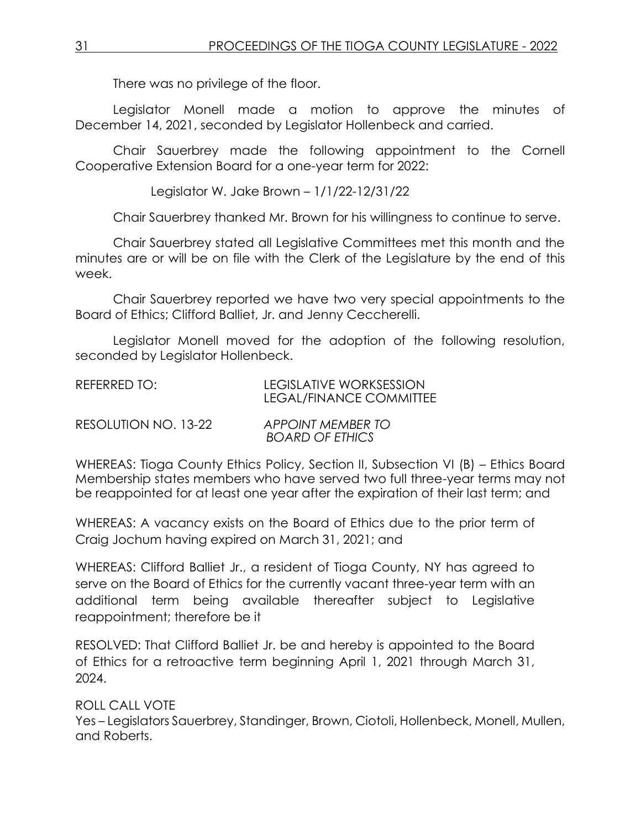There was no privilege of the floor.

Legislator Monell made a motion to approve the minutes of December 14, 2021, seconded by Legislator Hollenbeck and carried.

Chair Sauerbrey made the following appointment to the Cornell Cooperative Extension Board for a one-year term for 2022:

Legislator W. Jake Brown – 1/1/22-12/31/22

Chair Sauerbrey thanked Mr. Brown for his willingness to continue to serve.

Chair Sauerbrey stated all Legislative Committees met this month and the minutes are or will be on file with the Clerk of the Legislature by the end of this week.

Chair Sauerbrey reported we have two very special appointments to the Board of Ethics; Clifford Balliet, Jr. and Jenny Ceccherelli.

Legislator Monell moved for the adoption of the following resolution, seconded by Legislator Hollenbeck.

| REFERRED TO:         | LEGISLATIVE WORKSESSION<br>LEGAL/FINANCE COMMITTEE |
|----------------------|----------------------------------------------------|
| RESOLUTION NO. 13-22 | APPOINT MEMBER TO                                  |

WHEREAS: Tioga County Ethics Policy, Section II, Subsection VI (B) – Ethics Board Membership states members who have served two full three-year terms may not be reappointed for at least one year after the expiration of their last term; and

*BOARD OF ETHICS*

WHEREAS: A vacancy exists on the Board of Ethics due to the prior term of Craig Jochum having expired on March 31, 2021; and

WHEREAS: Clifford Balliet Jr., a resident of Tioga County, NY has agreed to serve on the Board of Ethics for the currently vacant three-year term with an additional term being available thereafter subject to Legislative reappointment; therefore be it

RESOLVED: That Clifford Balliet Jr. be and hereby is appointed to the Board of Ethics for a retroactive term beginning April 1, 2021 through March 31, 2024.

ROLL CALL VOTE Yes – Legislators Sauerbrey, Standinger, Brown, Ciotoli, Hollenbeck, Monell, Mullen, and Roberts.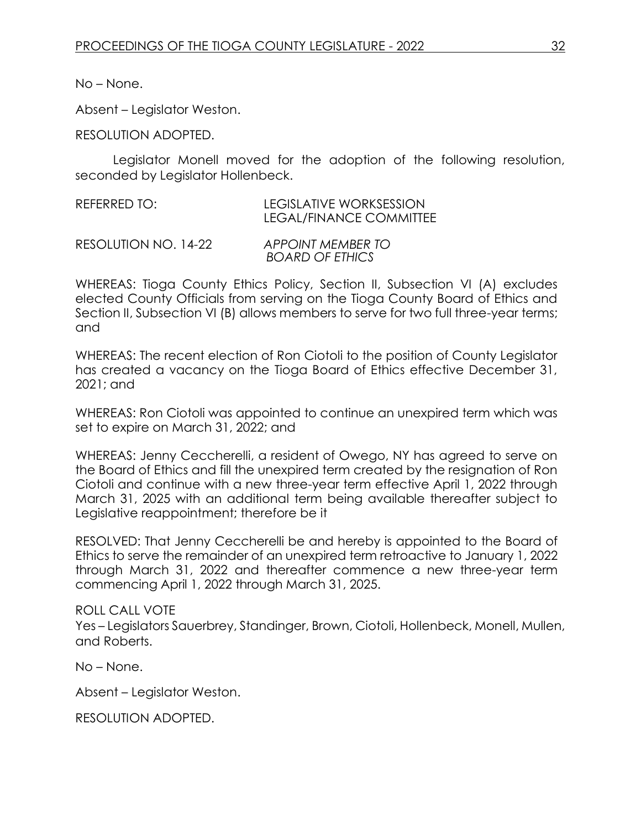No – None.

Absent – Legislator Weston.

RESOLUTION ADOPTED.

Legislator Monell moved for the adoption of the following resolution, seconded by Legislator Hollenbeck.

| REFERRED TO: | LEGISLATIVE WORKSESSION        |
|--------------|--------------------------------|
|              | <b>LEGAL/FINANCE COMMITTEE</b> |

RESOLUTION NO. 14-22 *APPOINT MEMBER TO BOARD OF ETHICS*

WHEREAS: Tioga County Ethics Policy, Section II, Subsection VI (A) excludes elected County Officials from serving on the Tioga County Board of Ethics and Section II, Subsection VI (B) allows members to serve for two full three-year terms; and

WHEREAS: The recent election of Ron Ciotoli to the position of County Legislator has created a vacancy on the Tioga Board of Ethics effective December 31, 2021; and

WHEREAS: Ron Ciotoli was appointed to continue an unexpired term which was set to expire on March 31, 2022; and

WHEREAS: Jenny Ceccherelli, a resident of Owego, NY has agreed to serve on the Board of Ethics and fill the unexpired term created by the resignation of Ron Ciotoli and continue with a new three-year term effective April 1, 2022 through March 31, 2025 with an additional term being available thereafter subject to Legislative reappointment; therefore be it

RESOLVED: That Jenny Ceccherelli be and hereby is appointed to the Board of Ethics to serve the remainder of an unexpired term retroactive to January 1, 2022 through March 31, 2022 and thereafter commence a new three-year term commencing April 1, 2022 through March 31, 2025.

#### ROLL CALL VOTE

Yes – Legislators Sauerbrey, Standinger, Brown, Ciotoli, Hollenbeck, Monell, Mullen, and Roberts.

No – None.

Absent – Legislator Weston.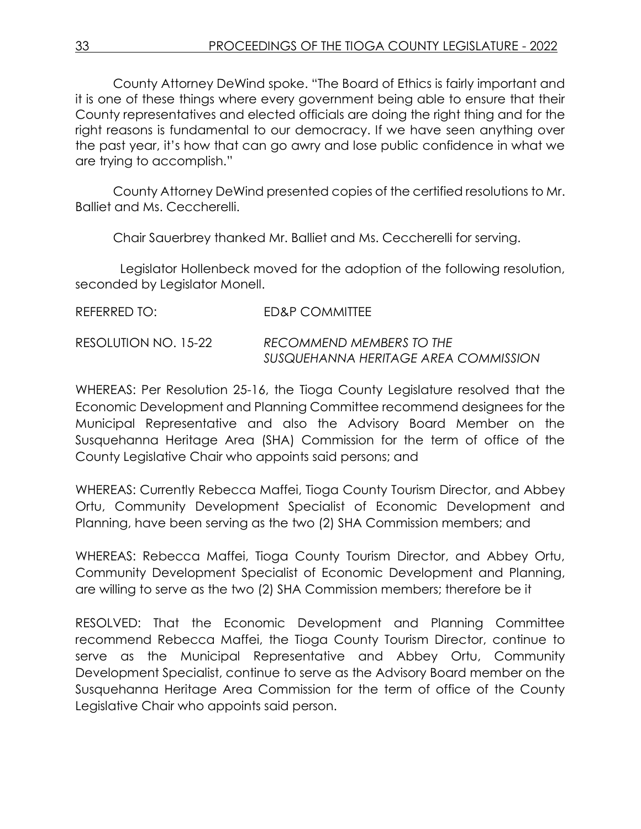County Attorney DeWind spoke. "The Board of Ethics is fairly important and it is one of these things where every government being able to ensure that their County representatives and elected officials are doing the right thing and for the right reasons is fundamental to our democracy. If we have seen anything over the past year, it's how that can go awry and lose public confidence in what we are trying to accomplish."

County Attorney DeWind presented copies of the certified resolutions to Mr. Balliet and Ms. Ceccherelli.

Chair Sauerbrey thanked Mr. Balliet and Ms. Ceccherelli for serving.

 Legislator Hollenbeck moved for the adoption of the following resolution, seconded by Legislator Monell.

| REFERRED TO:         | ED&P COMMITTEE                                                   |
|----------------------|------------------------------------------------------------------|
| RESOLUTION NO. 15-22 | RECOMMEND MEMBERS TO THE<br>SUSQUEHANNA HERITAGE AREA COMMISSION |

WHEREAS: Per Resolution 25-16, the Tioga County Legislature resolved that the Economic Development and Planning Committee recommend designees for the Municipal Representative and also the Advisory Board Member on the Susquehanna Heritage Area (SHA) Commission for the term of office of the County Legislative Chair who appoints said persons; and

WHEREAS: Currently Rebecca Maffei, Tioga County Tourism Director, and Abbey Ortu, Community Development Specialist of Economic Development and Planning, have been serving as the two (2) SHA Commission members; and

WHEREAS: Rebecca Maffei, Tioga County Tourism Director, and Abbey Ortu, Community Development Specialist of Economic Development and Planning, are willing to serve as the two (2) SHA Commission members; therefore be it

RESOLVED: That the Economic Development and Planning Committee recommend Rebecca Maffei, the Tioga County Tourism Director, continue to serve as the Municipal Representative and Abbey Ortu, Community Development Specialist, continue to serve as the Advisory Board member on the Susquehanna Heritage Area Commission for the term of office of the County Legislative Chair who appoints said person.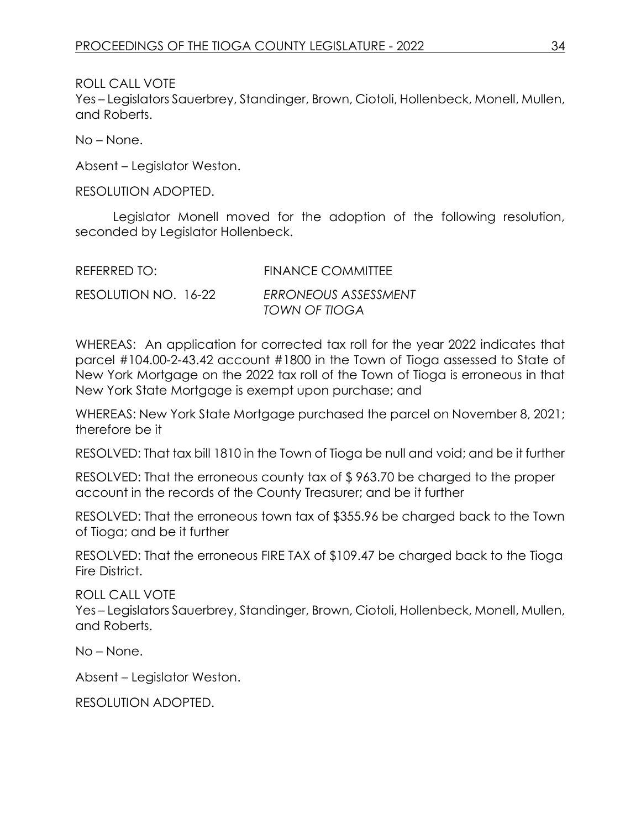ROLL CALL VOTE

Yes – Legislators Sauerbrey, Standinger, Brown, Ciotoli, Hollenbeck, Monell, Mullen, and Roberts.

No – None.

Absent – Legislator Weston.

RESOLUTION ADOPTED.

Legislator Monell moved for the adoption of the following resolution, seconded by Legislator Hollenbeck.

| REFERRED TO:         | <b>FINANCE COMMITTEE</b>              |
|----------------------|---------------------------------------|
| RESOLUTION NO. 16-22 | ERRONEOUS ASSESSMENT<br>TOWN OF TIOGA |

WHEREAS: An application for corrected tax roll for the year 2022 indicates that parcel #104.00-2-43.42 account #1800 in the Town of Tioga assessed to State of New York Mortgage on the 2022 tax roll of the Town of Tioga is erroneous in that New York State Mortgage is exempt upon purchase; and

WHEREAS: New York State Mortgage purchased the parcel on November 8, 2021; therefore be it

RESOLVED: That tax bill 1810 in the Town of Tioga be null and void; and be it further

RESOLVED: That the erroneous county tax of \$ 963.70 be charged to the proper account in the records of the County Treasurer; and be it further

RESOLVED: That the erroneous town tax of \$355.96 be charged back to the Town of Tioga; and be it further

RESOLVED: That the erroneous FIRE TAX of \$109.47 be charged back to the Tioga Fire District.

ROLL CALL VOTE

Yes – Legislators Sauerbrey, Standinger, Brown, Ciotoli, Hollenbeck, Monell, Mullen, and Roberts.

No – None.

Absent – Legislator Weston.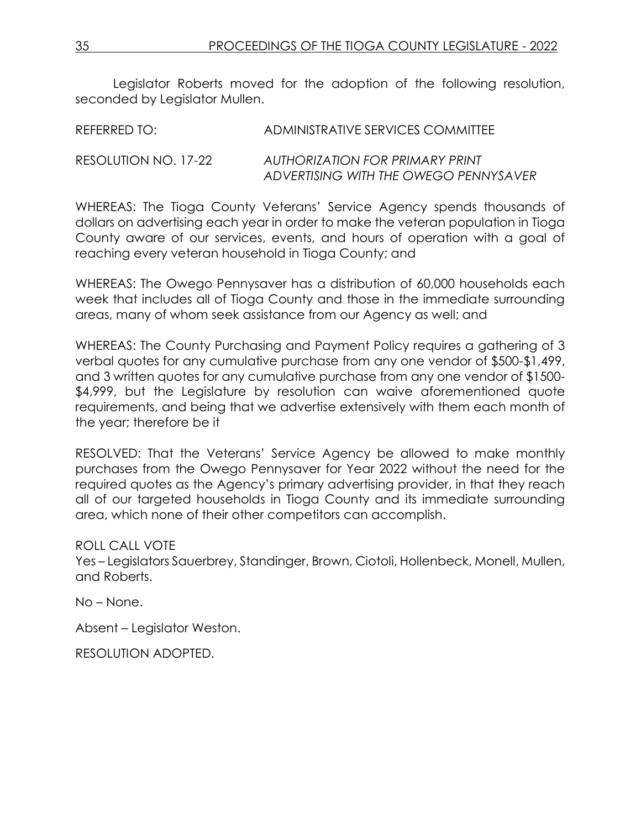Legislator Roberts moved for the adoption of the following resolution, seconded by Legislator Mullen.

| REFERRED TO:         | ADMINISTRATIVE SERVICES COMMITTEE      |
|----------------------|----------------------------------------|
| RESOLUTION NO. 17-22 | <b>AUTHORIZATION FOR PRIMARY PRINT</b> |
|                      | ADVERTISING WITH THE OWEGO PENNYSAVER  |

WHEREAS: The Tioga County Veterans' Service Agency spends thousands of dollars on advertising each year in order to make the veteran population in Tioga County aware of our services, events, and hours of operation with a goal of reaching every veteran household in Tioga County; and

WHEREAS: The Owego Pennysaver has a distribution of 60,000 households each week that includes all of Tioga County and those in the immediate surrounding areas, many of whom seek assistance from our Agency as well; and

WHEREAS: The County Purchasing and Payment Policy requires a gathering of 3 verbal quotes for any cumulative purchase from any one vendor of \$500-\$1,499, and 3 written quotes for any cumulative purchase from any one vendor of \$1500- \$4,999, but the Legislature by resolution can waive aforementioned quote requirements, and being that we advertise extensively with them each month of the year; therefore be it

RESOLVED: That the Veterans' Service Agency be allowed to make monthly purchases from the Owego Pennysaver for Year 2022 without the need for the required quotes as the Agency's primary advertising provider, in that they reach all of our targeted households in Tioga County and its immediate surrounding area, which none of their other competitors can accomplish.

#### ROLL CALL VOTE

Yes – Legislators Sauerbrey, Standinger, Brown, Ciotoli, Hollenbeck, Monell, Mullen, and Roberts.

No – None.

Absent – Legislator Weston.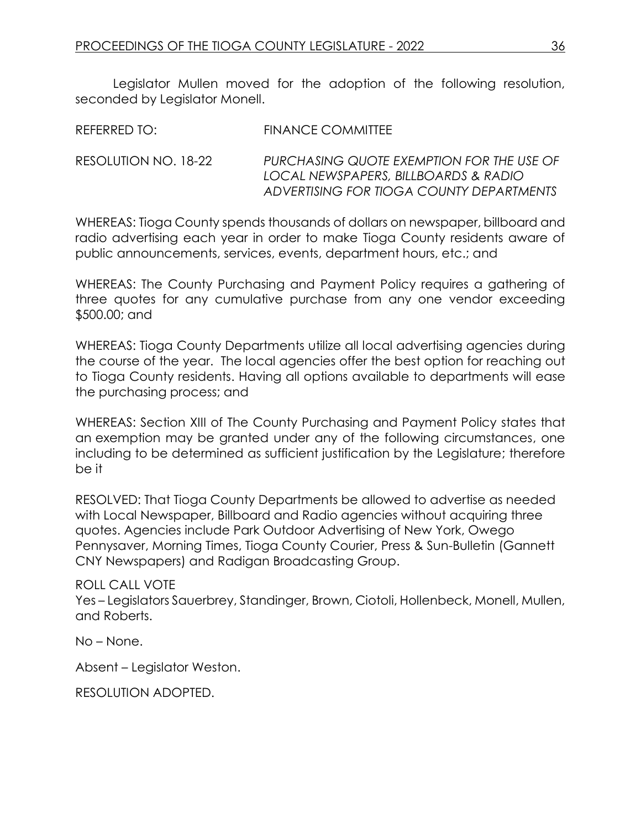Legislator Mullen moved for the adoption of the following resolution, seconded by Legislator Monell.

| REFERRED TO: | <b>FINANCE COMMITTEE</b> |
|--------------|--------------------------|
|              |                          |

RESOLUTION NO. 18-22 *PURCHASING QUOTE EXEMPTION FOR THE USE OF LOCAL NEWSPAPERS, BILLBOARDS & RADIO ADVERTISING FOR TIOGA COUNTY DEPARTMENTS*

WHEREAS: Tioga County spends thousands of dollars on newspaper, billboard and radio advertising each year in order to make Tioga County residents aware of public announcements, services, events, department hours, etc.; and

WHEREAS: The County Purchasing and Payment Policy requires a gathering of three quotes for any cumulative purchase from any one vendor exceeding \$500.00; and

WHEREAS: Tioga County Departments utilize all local advertising agencies during the course of the year. The local agencies offer the best option for reaching out to Tioga County residents. Having all options available to departments will ease the purchasing process; and

WHEREAS: Section XIII of The County Purchasing and Payment Policy states that an exemption may be granted under any of the following circumstances, one including to be determined as sufficient justification by the Legislature; therefore be it

RESOLVED: That Tioga County Departments be allowed to advertise as needed with Local Newspaper, Billboard and Radio agencies without acquiring three quotes. Agencies include Park Outdoor Advertising of New York, Owego Pennysaver, Morning Times, Tioga County Courier, Press & Sun-Bulletin (Gannett CNY Newspapers) and Radigan Broadcasting Group.

ROLL CALL VOTE Yes – Legislators Sauerbrey, Standinger, Brown, Ciotoli, Hollenbeck, Monell, Mullen, and Roberts.

No – None.

Absent – Legislator Weston.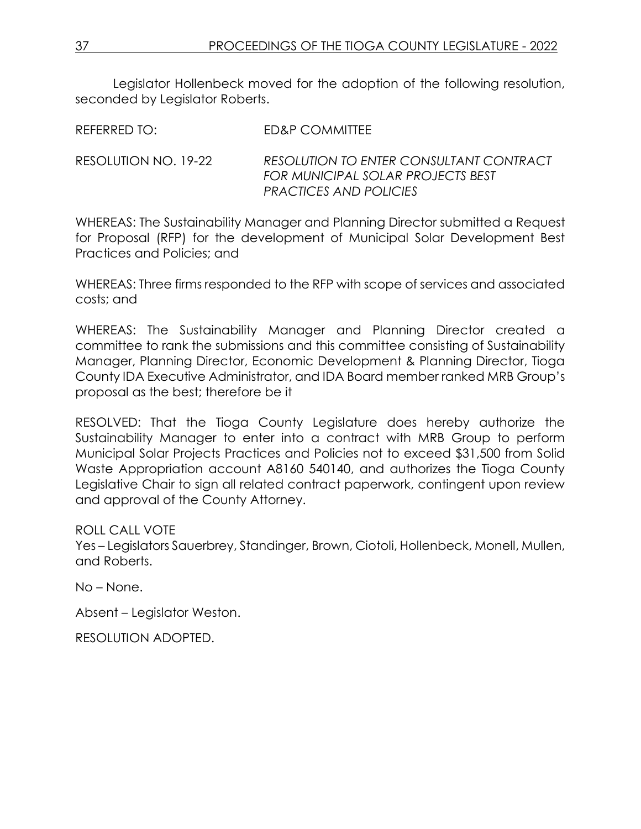Legislator Hollenbeck moved for the adoption of the following resolution, seconded by Legislator Roberts.

REFERRED TO: FD&P COMMITTEE

RESOLUTION NO. 19-22 *RESOLUTION TO ENTER CONSULTANT CONTRACT FOR MUNICIPAL SOLAR PROJECTS BEST PRACTICES AND POLICIES*

WHEREAS: The Sustainability Manager and Planning Director submitted a Request for Proposal (RFP) for the development of Municipal Solar Development Best Practices and Policies; and

WHEREAS: Three firms responded to the RFP with scope of services and associated costs; and

WHEREAS: The Sustainability Manager and Planning Director created a committee to rank the submissions and this committee consisting of Sustainability Manager, Planning Director, Economic Development & Planning Director, Tioga County IDA Executive Administrator, and IDA Board member ranked MRB Group's proposal as the best; therefore be it

RESOLVED: That the Tioga County Legislature does hereby authorize the Sustainability Manager to enter into a contract with MRB Group to perform Municipal Solar Projects Practices and Policies not to exceed \$31,500 from Solid Waste Appropriation account A8160 540140, and authorizes the Tioga County Legislative Chair to sign all related contract paperwork, contingent upon review and approval of the County Attorney.

ROLL CALL VOTE

Yes – Legislators Sauerbrey, Standinger, Brown, Ciotoli, Hollenbeck, Monell, Mullen, and Roberts.

No – None.

Absent – Legislator Weston.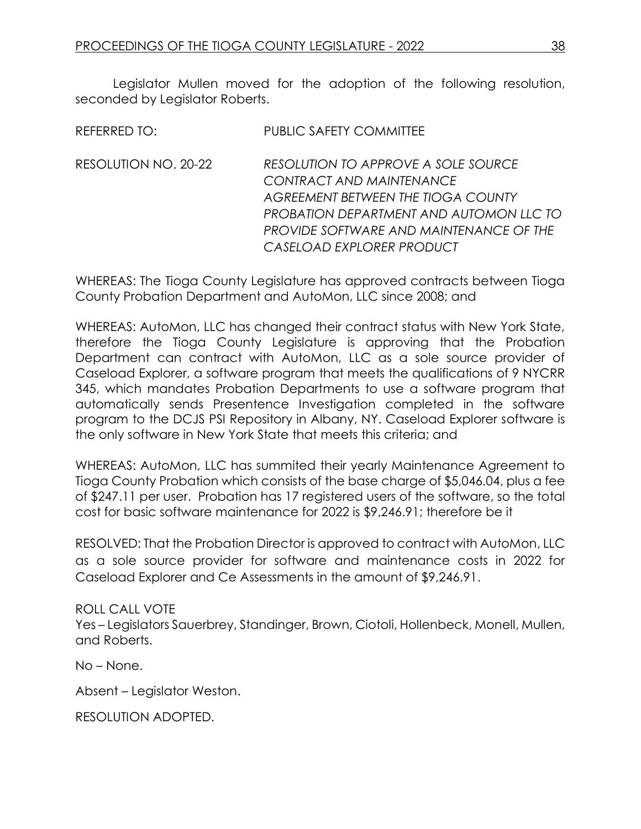Legislator Mullen moved for the adoption of the following resolution, seconded by Legislator Roberts.

| REFERRED TO:         | <b>PUBLIC SAFETY COMMITTEE</b>                                                                                                                                                                                           |
|----------------------|--------------------------------------------------------------------------------------------------------------------------------------------------------------------------------------------------------------------------|
| RESOLUTION NO. 20-22 | RESOLUTION TO APPROVE A SOLE SOURCE<br>CONTRACT AND MAINTENANCE<br>AGREEMENT BETWEEN THE TIOGA COUNTY<br>PROBATION DEPARTMENT AND AUTOMON LLC TO<br>PROVIDE SOFTWARE AND MAINTENANCE OF THE<br>CASELOAD EXPLORER PRODUCT |

WHEREAS: The Tioga County Legislature has approved contracts between Tioga County Probation Department and AutoMon, LLC since 2008; and

WHEREAS: AutoMon, LLC has changed their contract status with New York State, therefore the Tioga County Legislature is approving that the Probation Department can contract with AutoMon, LLC as a sole source provider of Caseload Explorer, a software program that meets the qualifications of 9 NYCRR 345, which mandates Probation Departments to use a software program that automatically sends Presentence Investigation completed in the software program to the DCJS PSI Repository in Albany, NY. Caseload Explorer software is the only software in New York State that meets this criteria; and

WHEREAS: AutoMon, LLC has summited their yearly Maintenance Agreement to Tioga County Probation which consists of the base charge of \$5,046.04, plus a fee of \$247.11 per user. Probation has 17 registered users of the software, so the total cost for basic software maintenance for 2022 is \$9,246.91; therefore be it

RESOLVED: That the Probation Director is approved to contract with AutoMon, LLC as a sole source provider for software and maintenance costs in 2022 for Caseload Explorer and Ce Assessments in the amount of \$9,246.91.

ROLL CALL VOTE Yes – Legislators Sauerbrey, Standinger, Brown, Ciotoli, Hollenbeck, Monell, Mullen, and Roberts.

No – None.

Absent – Legislator Weston.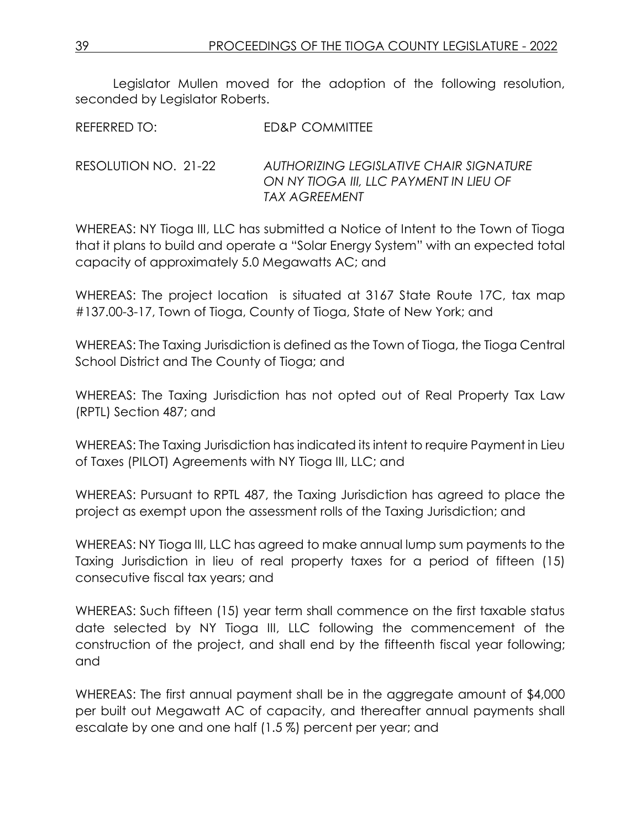Legislator Mullen moved for the adoption of the following resolution, seconded by Legislator Roberts.

RESOLUTION NO. 21-22 *AUTHORIZING LEGISLATIVE CHAIR SIGNATURE ON NY TIOGA III, LLC PAYMENT IN LIEU OF TAX AGREEMENT*

WHEREAS: NY Tioga III, LLC has submitted a Notice of Intent to the Town of Tioga that it plans to build and operate a "Solar Energy System" with an expected total capacity of approximately 5.0 Megawatts AC; and

WHEREAS: The project location is situated at 3167 State Route 17C, tax map #137.00-3-17, Town of Tioga, County of Tioga, State of New York; and

WHEREAS: The Taxing Jurisdiction is defined as the Town of Tioga, the Tioga Central School District and The County of Tioga; and

WHEREAS: The Taxing Jurisdiction has not opted out of Real Property Tax Law (RPTL) Section 487; and

WHEREAS: The Taxing Jurisdiction has indicated its intent to require Payment in Lieu of Taxes (PILOT) Agreements with NY Tioga III, LLC; and

WHEREAS: Pursuant to RPTL 487, the Taxing Jurisdiction has agreed to place the project as exempt upon the assessment rolls of the Taxing Jurisdiction; and

WHEREAS: NY Tioga III, LLC has agreed to make annual lump sum payments to the Taxing Jurisdiction in lieu of real property taxes for a period of fifteen (15) consecutive fiscal tax years; and

WHEREAS: Such fifteen (15) year term shall commence on the first taxable status date selected by NY Tioga III, LLC following the commencement of the construction of the project, and shall end by the fifteenth fiscal year following; and

WHEREAS: The first annual payment shall be in the aggregate amount of \$4,000 per built out Megawatt AC of capacity, and thereafter annual payments shall escalate by one and one half (1.5 %) percent per year; and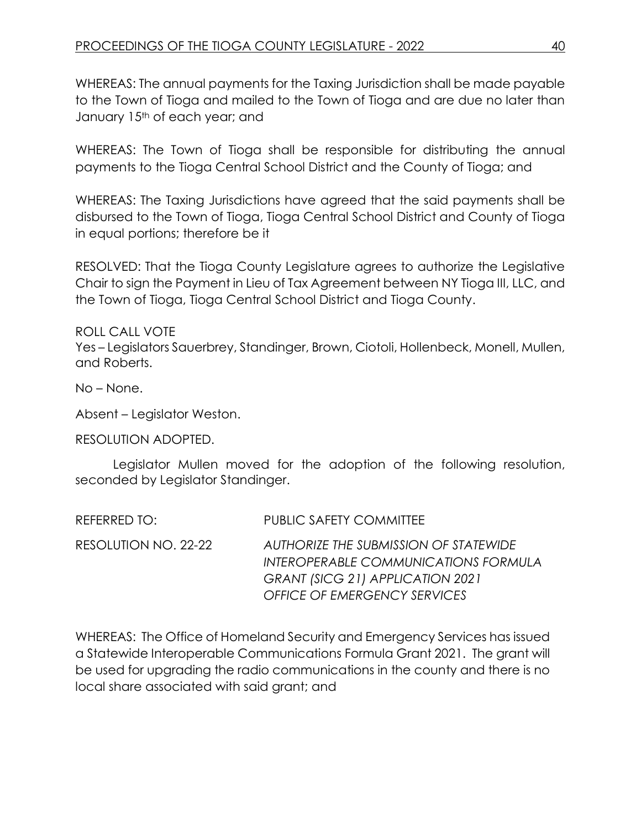WHEREAS: The annual payments for the Taxing Jurisdiction shall be made payable to the Town of Tioga and mailed to the Town of Tioga and are due no later than January 15<sup>th</sup> of each year; and

WHEREAS: The Town of Tioga shall be responsible for distributing the annual payments to the Tioga Central School District and the County of Tioga; and

WHEREAS: The Taxing Jurisdictions have agreed that the said payments shall be disbursed to the Town of Tioga, Tioga Central School District and County of Tioga in equal portions; therefore be it

RESOLVED: That the Tioga County Legislature agrees to authorize the Legislative Chair to sign the Payment in Lieu of Tax Agreement between NY Tioga III, LLC, and the Town of Tioga, Tioga Central School District and Tioga County.

ROLL CALL VOTE

Yes – Legislators Sauerbrey, Standinger, Brown, Ciotoli, Hollenbeck, Monell, Mullen, and Roberts.

No – None.

Absent – Legislator Weston.

RESOLUTION ADOPTED.

Legislator Mullen moved for the adoption of the following resolution, seconded by Legislator Standinger.

| REFERRED TO:         | <b>PUBLIC SAFETY COMMITTEE</b>                                                                                                                                  |
|----------------------|-----------------------------------------------------------------------------------------------------------------------------------------------------------------|
| RESOLUTION NO. 22-22 | AUTHORIZE THE SUBMISSION OF STATEWIDE<br>INTEROPERABLE COMMUNICATIONS FORMULA<br><b>GRANT (SICG 21) APPLICATION 2021</b><br><b>OFFICE OF EMERGENCY SERVICES</b> |

WHEREAS: The Office of Homeland Security and Emergency Services has issued a Statewide Interoperable Communications Formula Grant 2021. The grant will be used for upgrading the radio communications in the county and there is no local share associated with said grant; and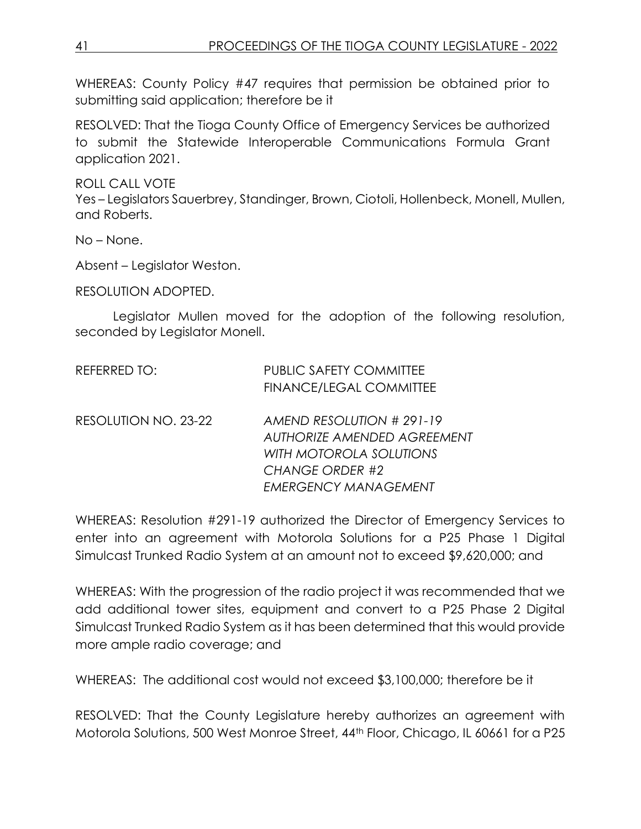WHEREAS: County Policy #47 requires that permission be obtained prior to submitting said application; therefore be it

RESOLVED: That the Tioga County Office of Emergency Services be authorized to submit the Statewide Interoperable Communications Formula Grant application 2021.

ROLL CALL VOTE

Yes – Legislators Sauerbrey, Standinger, Brown, Ciotoli, Hollenbeck, Monell, Mullen, and Roberts.

No – None.

Absent – Legislator Weston.

RESOLUTION ADOPTED.

Legislator Mullen moved for the adoption of the following resolution, seconded by Legislator Monell.

| REFERRED TO:         | <b>PUBLIC SAFETY COMMITTEE</b><br><b>FINANCE/LEGAL COMMITTEE</b>                                                                             |
|----------------------|----------------------------------------------------------------------------------------------------------------------------------------------|
| RESOLUTION NO. 23-22 | AMEND RESOLUTION # 291-19<br><b>AUTHORIZE AMENDED AGREEMENT</b><br>WITH MOTOROLA SOLUTIONS<br><b>CHANGE ORDER #2</b><br>EMERGENCY MANAGEMENT |

WHEREAS: Resolution #291-19 authorized the Director of Emergency Services to enter into an agreement with Motorola Solutions for a P25 Phase 1 Digital Simulcast Trunked Radio System at an amount not to exceed \$9,620,000; and

WHEREAS: With the progression of the radio project it was recommended that we add additional tower sites, equipment and convert to a P25 Phase 2 Digital Simulcast Trunked Radio System as it has been determined that this would provide more ample radio coverage; and

WHEREAS: The additional cost would not exceed \$3,100,000; therefore be it

RESOLVED: That the County Legislature hereby authorizes an agreement with Motorola Solutions, 500 West Monroe Street, 44th Floor, Chicago, IL 60661 for a P25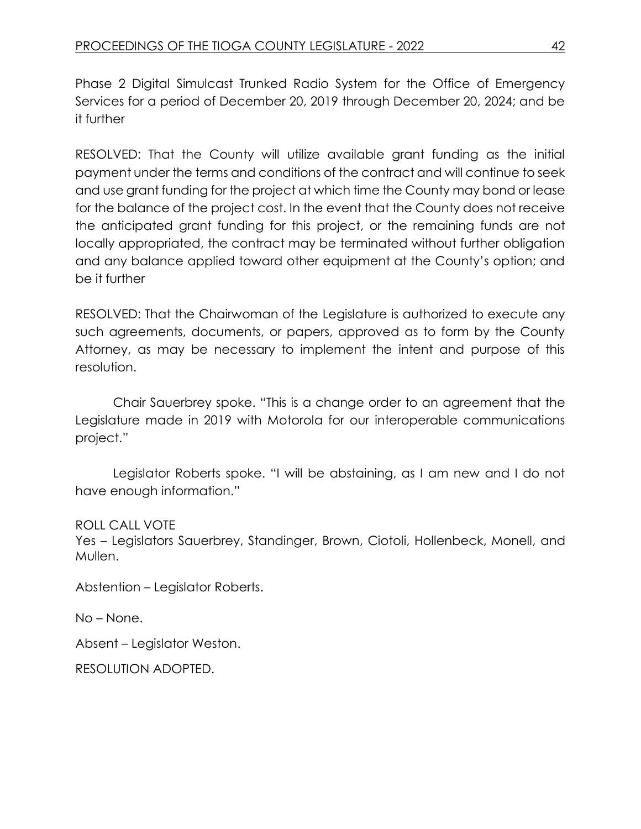Phase 2 Digital Simulcast Trunked Radio System for the Office of Emergency Services for a period of December 20, 2019 through December 20, 2024; and be it further

RESOLVED: That the County will utilize available grant funding as the initial payment under the terms and conditions of the contract and will continue to seek and use grant funding for the project at which time the County may bond or lease for the balance of the project cost. In the event that the County does not receive the anticipated grant funding for this project, or the remaining funds are not locally appropriated, the contract may be terminated without further obligation and any balance applied toward other equipment at the County's option; and be it further

RESOLVED: That the Chairwoman of the Legislature is authorized to execute any such agreements, documents, or papers, approved as to form by the County Attorney, as may be necessary to implement the intent and purpose of this resolution.

Chair Sauerbrey spoke. "This is a change order to an agreement that the Legislature made in 2019 with Motorola for our interoperable communications project."

Legislator Roberts spoke. "I will be abstaining, as I am new and I do not have enough information."

ROLL CALL VOTE

Yes – Legislators Sauerbrey, Standinger, Brown, Ciotoli, Hollenbeck, Monell, and Mullen.

Abstention – Legislator Roberts.

No – None.

Absent – Legislator Weston.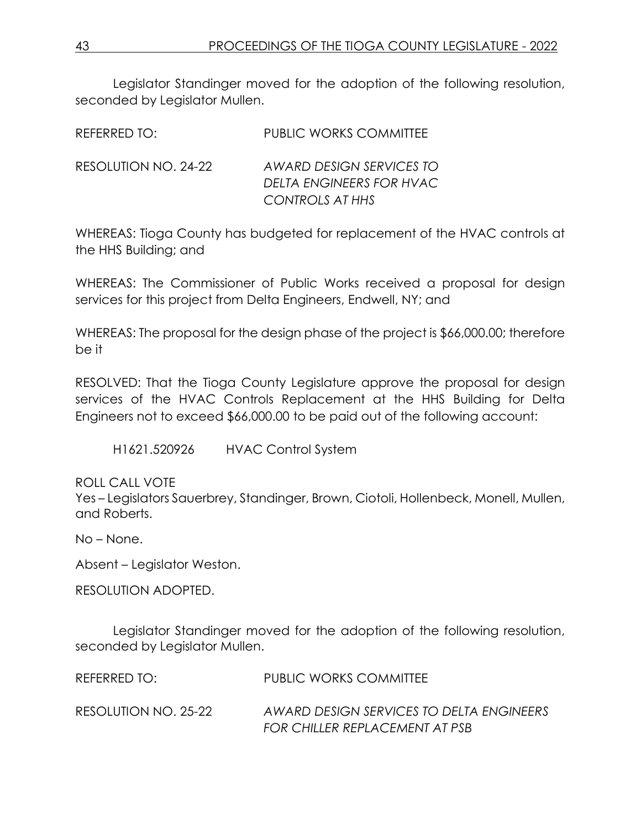Legislator Standinger moved for the adoption of the following resolution, seconded by Legislator Mullen.

| REFERRED TO:         | <b>PUBLIC WORKS COMMITTEE</b>                                           |
|----------------------|-------------------------------------------------------------------------|
| RESOLUTION NO. 24-22 | AWARD DESIGN SERVICES TO<br>DELTA ENGINEERS FOR HVAC<br>CONTROLS AT HHS |

WHEREAS: Tioga County has budgeted for replacement of the HVAC controls at the HHS Building; and

WHEREAS: The Commissioner of Public Works received a proposal for design services for this project from Delta Engineers, Endwell, NY; and

WHEREAS: The proposal for the design phase of the project is \$66,000.00; therefore be it

RESOLVED: That the Tioga County Legislature approve the proposal for design services of the HVAC Controls Replacement at the HHS Building for Delta Engineers not to exceed \$66,000.00 to be paid out of the following account:

H1621.520926 HVAC Control System

ROLL CALL VOTE

Yes – Legislators Sauerbrey, Standinger, Brown, Ciotoli, Hollenbeck, Monell, Mullen, and Roberts.

No – None.

Absent – Legislator Weston.

RESOLUTION ADOPTED.

Legislator Standinger moved for the adoption of the following resolution, seconded by Legislator Mullen.

REFERRED TO: PUBLIC WORKS COMMITTEE

RESOLUTION NO. 25-22 *AWARD DESIGN SERVICES TO DELTA ENGINEERS FOR CHILLER REPLACEMENT AT PSB*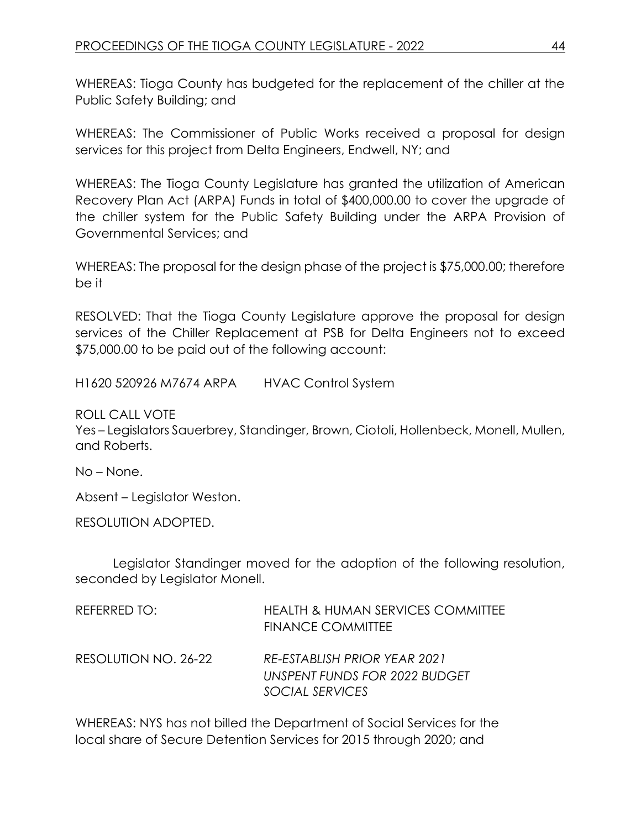WHEREAS: Tioga County has budgeted for the replacement of the chiller at the Public Safety Building; and

WHEREAS: The Commissioner of Public Works received a proposal for design services for this project from Delta Engineers, Endwell, NY; and

WHEREAS: The Tioga County Legislature has granted the utilization of American Recovery Plan Act (ARPA) Funds in total of \$400,000.00 to cover the upgrade of the chiller system for the Public Safety Building under the ARPA Provision of Governmental Services; and

WHEREAS: The proposal for the design phase of the project is \$75,000.00; therefore be it

RESOLVED: That the Tioga County Legislature approve the proposal for design services of the Chiller Replacement at PSB for Delta Engineers not to exceed \$75,000.00 to be paid out of the following account:

H1620 520926 M7674 ARPA HVAC Control System

ROLL CALL VOTE

Yes – Legislators Sauerbrey, Standinger, Brown, Ciotoli, Hollenbeck, Monell, Mullen, and Roberts.

No – None.

Absent – Legislator Weston.

RESOLUTION ADOPTED.

Legislator Standinger moved for the adoption of the following resolution, seconded by Legislator Monell.

| REFERRED TO:         | HEALTH & HUMAN SERVICES COMMITTEE<br><b>FINANCE COMMITTEE</b>                    |
|----------------------|----------------------------------------------------------------------------------|
| RESOLUTION NO. 26-22 | RE-ESTABLISH PRIOR YEAR 2021<br>UNSPENT FUNDS FOR 2022 BUDGET<br>SOCIAL SERVICES |

WHEREAS: NYS has not billed the Department of Social Services for the local share of Secure Detention Services for 2015 through 2020; and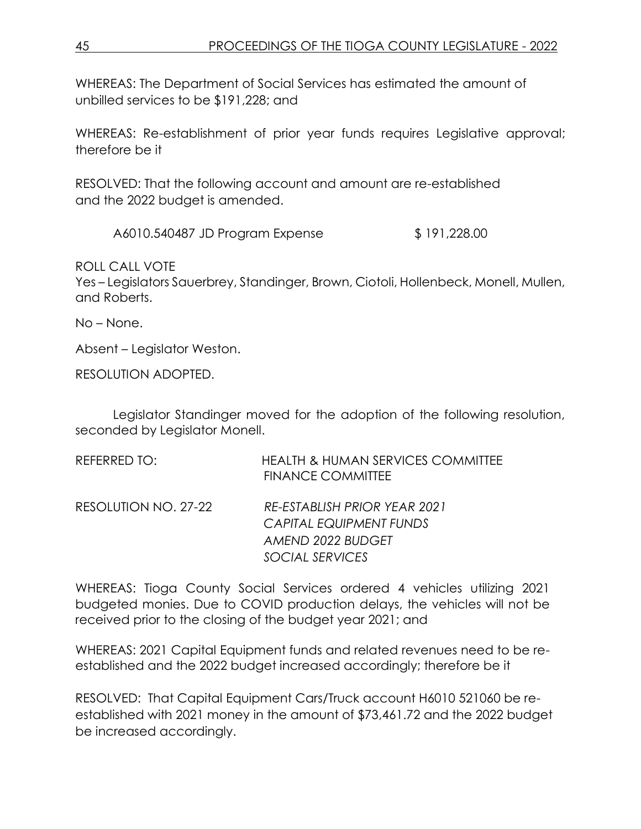WHEREAS: The Department of Social Services has estimated the amount of unbilled services to be \$191,228; and

WHEREAS: Re-establishment of prior year funds requires Legislative approval; therefore be it

RESOLVED: That the following account and amount are re-established and the 2022 budget is amended.

A6010.540487 JD Program Expense \$ 191,228.00

ROLL CALL VOTE

Yes – Legislators Sauerbrey, Standinger, Brown, Ciotoli, Hollenbeck, Monell, Mullen, and Roberts.

No – None.

Absent – Legislator Weston.

RESOLUTION ADOPTED.

Legislator Standinger moved for the adoption of the following resolution, seconded by Legislator Monell.

| REFERRED TO:         | <b>HEALTH &amp; HUMAN SERVICES COMMITTEE</b><br><b>FINANCE COMMITTEE</b> |
|----------------------|--------------------------------------------------------------------------|
| RESOLUTION NO. 27-22 | RE-ESTABLISH PRIOR YEAR 2021                                             |
|                      | <b>CAPITAL EQUIPMENT FUNDS</b>                                           |
|                      | AMEND 2022 BUDGET                                                        |
|                      | SOCIAL SERVICES                                                          |

WHEREAS: Tioga County Social Services ordered 4 vehicles utilizing 2021 budgeted monies. Due to COVID production delays, the vehicles will not be received prior to the closing of the budget year 2021; and

WHEREAS: 2021 Capital Equipment funds and related revenues need to be reestablished and the 2022 budget increased accordingly; therefore be it

RESOLVED: That Capital Equipment Cars/Truck account H6010 521060 be reestablished with 2021 money in the amount of \$73,461.72 and the 2022 budget be increased accordingly.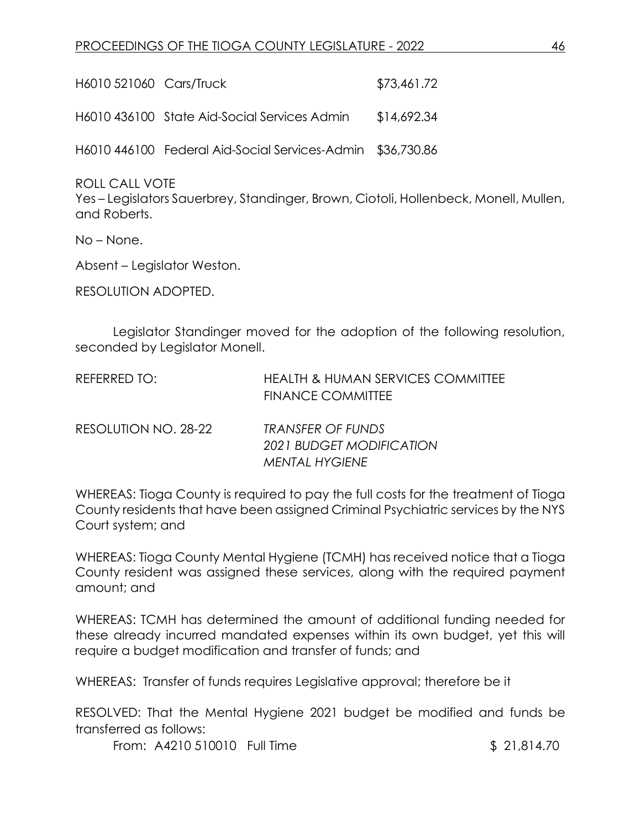| H6010 521060 Cars/Truck |                                                            | \$73,461.72 |
|-------------------------|------------------------------------------------------------|-------------|
|                         | H6010 436100 State Aid-Social Services Admin               | \$14,692.34 |
|                         | H6010 446100 Federal Aid-Social Services-Admin \$36,730.86 |             |

ROLL CALL VOTE

Yes – Legislators Sauerbrey, Standinger, Brown, Ciotoli, Hollenbeck, Monell, Mullen, and Roberts.

No – None.

Absent – Legislator Weston.

RESOLUTION ADOPTED.

Legislator Standinger moved for the adoption of the following resolution, seconded by Legislator Monell.

| REFERRED TO:         | <b>HEALTH &amp; HUMAN SERVICES COMMITTEE</b><br><b>FINANCE COMMITTEE</b> |
|----------------------|--------------------------------------------------------------------------|
| RESOLUTION NO. 28-22 | TRANSFER OF FUNDS                                                        |
|                      | 2021 BUDGET MODIFICATION                                                 |
|                      | <b>MENTAL HYGIENE</b>                                                    |

WHEREAS: Tioga County is required to pay the full costs for the treatment of Tioga County residents that have been assigned Criminal Psychiatric services by the NYS Court system; and

WHEREAS: Tioga County Mental Hygiene (TCMH) has received notice that a Tioga County resident was assigned these services, along with the required payment amount; and

WHEREAS: TCMH has determined the amount of additional funding needed for these already incurred mandated expenses within its own budget, yet this will require a budget modification and transfer of funds; and

WHEREAS: Transfer of funds requires Legislative approval; therefore be it

RESOLVED: That the Mental Hygiene 2021 budget be modified and funds be transferred as follows:

From: A4210 510010 Full Time \$ 21,814.70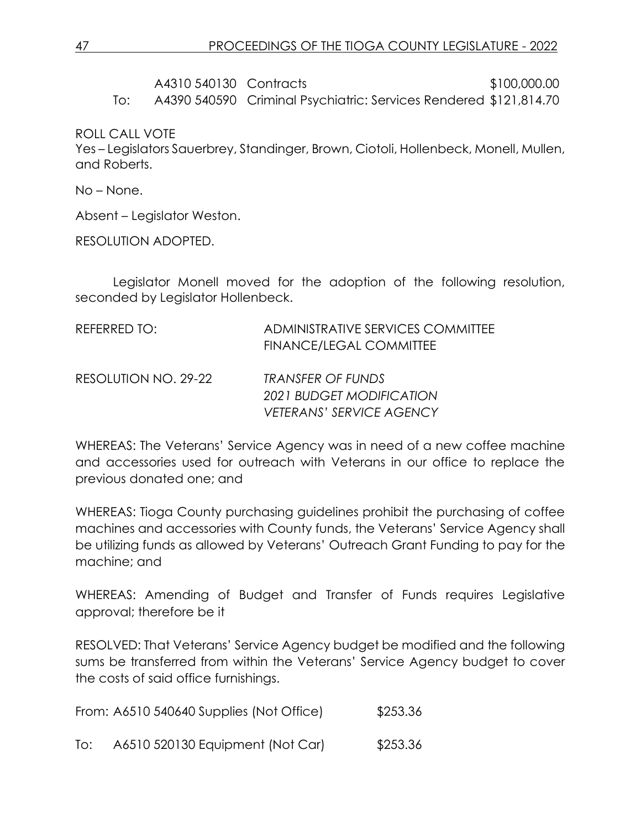# A4310 540130 Contracts \$100,000.00

To: A4390 540590 Criminal Psychiatric: Services Rendered \$121,814.70

ROLL CALL VOTE

Yes – Legislators Sauerbrey, Standinger, Brown, Ciotoli, Hollenbeck, Monell, Mullen, and Roberts.

No – None.

Absent – Legislator Weston.

RESOLUTION ADOPTED.

Legislator Monell moved for the adoption of the following resolution, seconded by Legislator Hollenbeck.

| REFERRED TO:         | ADMINISTRATIVE SERVICES COMMITTEE<br><b>FINANCE/LEGAL COMMITTEE</b> |
|----------------------|---------------------------------------------------------------------|
| RESOLUTION NO. 29-22 | TRANSFER OF FUNDS                                                   |
|                      | 2021 BUDGET MODIFICATION<br>VETERANS' SERVICE AGENCY                |

WHEREAS: The Veterans' Service Agency was in need of a new coffee machine and accessories used for outreach with Veterans in our office to replace the previous donated one; and

WHEREAS: Tioga County purchasing guidelines prohibit the purchasing of coffee machines and accessories with County funds, the Veterans' Service Agency shall be utilizing funds as allowed by Veterans' Outreach Grant Funding to pay for the machine; and

WHEREAS: Amending of Budget and Transfer of Funds requires Legislative approval; therefore be it

RESOLVED: That Veterans' Service Agency budget be modified and the following sums be transferred from within the Veterans' Service Agency budget to cover the costs of said office furnishings.

From: A6510 540640 Supplies (Not Office) \$253.36

To: A6510 520130 Equipment (Not Car) \$253.36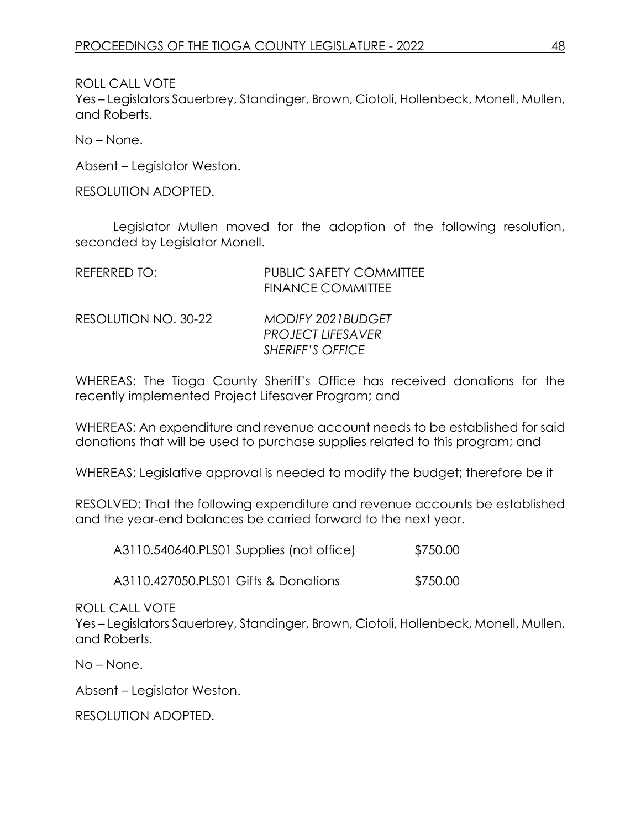ROLL CALL VOTE

Yes – Legislators Sauerbrey, Standinger, Brown, Ciotoli, Hollenbeck, Monell, Mullen, and Roberts.

No – None.

Absent – Legislator Weston.

RESOLUTION ADOPTED.

Legislator Mullen moved for the adoption of the following resolution, seconded by Legislator Monell.

| REFERRED TO:         | <b>PUBLIC SAFETY COMMITTEE</b><br><b>FINANCE COMMITTEE</b>                      |
|----------------------|---------------------------------------------------------------------------------|
| RESOLUTION NO. 30-22 | <b>MODIFY 2021BUDGET</b><br><b>PROJECT LIFESAVER</b><br><b>SHERIFF'S OFFICE</b> |

WHEREAS: The Tioga County Sheriff's Office has received donations for the recently implemented Project Lifesaver Program; and

WHEREAS: An expenditure and revenue account needs to be established for said donations that will be used to purchase supplies related to this program; and

WHEREAS: Legislative approval is needed to modify the budget; therefore be it

RESOLVED: That the following expenditure and revenue accounts be established and the year-end balances be carried forward to the next year.

| A3110.540640.PLS01 Supplies (not office) | \$750.00 |
|------------------------------------------|----------|
|                                          |          |

A3110.427050.PLS01 Gifts & Donations \$750.00

ROLL CALL VOTE

Yes – Legislators Sauerbrey, Standinger, Brown, Ciotoli, Hollenbeck, Monell, Mullen, and Roberts.

No – None.

Absent – Legislator Weston.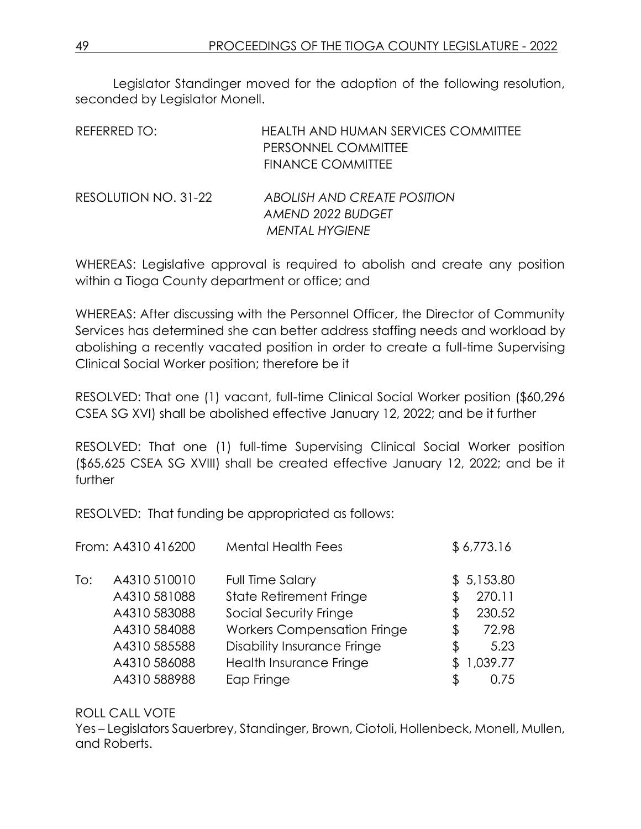Legislator Standinger moved for the adoption of the following resolution, seconded by Legislator Monell.

| REFERRED TO:         | HEALTH AND HUMAN SERVICES COMMITTEE<br>PERSONNEL COMMITTEE<br><b>FINANCE COMMITTEE</b> |
|----------------------|----------------------------------------------------------------------------------------|
| RESOLUTION NO. 31-22 | ABOLISH AND CREATE POSITION<br>AMEND 2022 BUDGET<br><b>MENTAL HYGIENE</b>              |

WHEREAS: Legislative approval is required to abolish and create any position within a Tioga County department or office; and

WHEREAS: After discussing with the Personnel Officer, the Director of Community Services has determined she can better address staffing needs and workload by abolishing a recently vacated position in order to create a full-time Supervising Clinical Social Worker position; therefore be it

RESOLVED: That one (1) vacant, full-time Clinical Social Worker position (\$60,296 CSEA SG XVI) shall be abolished effective January 12, 2022; and be it further

RESOLVED: That one (1) full-time Supervising Clinical Social Worker position (\$65,625 CSEA SG XVIII) shall be created effective January 12, 2022; and be it further

RESOLVED: That funding be appropriated as follows:

|     | From: A4310 416200 | <b>Mental Health Fees</b>          | \$6,773.16   |
|-----|--------------------|------------------------------------|--------------|
| To: | A4310 510010       | Full Time Salary                   | \$5,153.80   |
|     | A4310 581088       | <b>State Retirement Fringe</b>     | \$<br>270.11 |
|     | A4310 583088       | Social Security Fringe             | \$<br>230.52 |
|     | A4310 584088       | <b>Workers Compensation Fringe</b> | \$<br>72.98  |
|     | A4310 585588       | <b>Disability Insurance Fringe</b> | \$<br>5.23   |
|     | A4310 586088       | Health Insurance Fringe            | 1,039.77     |
|     | A4310 588988       | Eap Fringe                         | \$<br>0.75   |
|     |                    |                                    |              |

#### ROLL CALL VOTE

Yes – Legislators Sauerbrey, Standinger, Brown, Ciotoli, Hollenbeck, Monell, Mullen, and Roberts.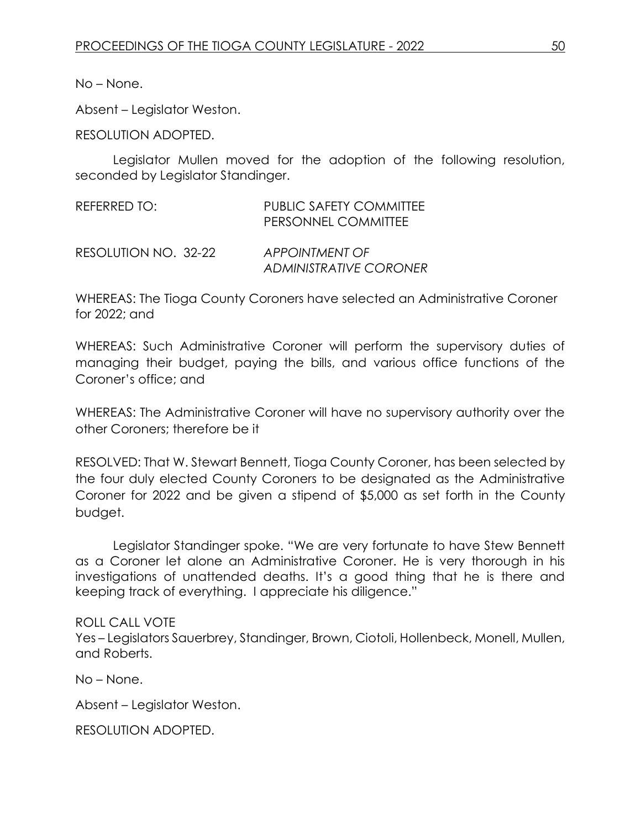No – None.

Absent – Legislator Weston.

RESOLUTION ADOPTED.

Legislator Mullen moved for the adoption of the following resolution, seconded by Legislator Standinger.

| REFERRED TO:         | PUBLIC SAFETY COMMITTEE<br>PERSONNEL COMMITTEE |  |
|----------------------|------------------------------------------------|--|
| RESOLUTION NO. 32-22 | APPOINTMENT OF<br>ADMINISTRATIVE CORONER       |  |

WHEREAS: The Tioga County Coroners have selected an Administrative Coroner for 2022; and

WHEREAS: Such Administrative Coroner will perform the supervisory duties of managing their budget, paying the bills, and various office functions of the Coroner's office; and

WHEREAS: The Administrative Coroner will have no supervisory authority over the other Coroners; therefore be it

RESOLVED: That W. Stewart Bennett, Tioga County Coroner, has been selected by the four duly elected County Coroners to be designated as the Administrative Coroner for 2022 and be given a stipend of \$5,000 as set forth in the County budget.

Legislator Standinger spoke. "We are very fortunate to have Stew Bennett as a Coroner let alone an Administrative Coroner. He is very thorough in his investigations of unattended deaths. It's a good thing that he is there and keeping track of everything. I appreciate his diligence."

#### ROLL CALL VOTE

Yes – Legislators Sauerbrey, Standinger, Brown, Ciotoli, Hollenbeck, Monell, Mullen, and Roberts.

No – None.

Absent – Legislator Weston.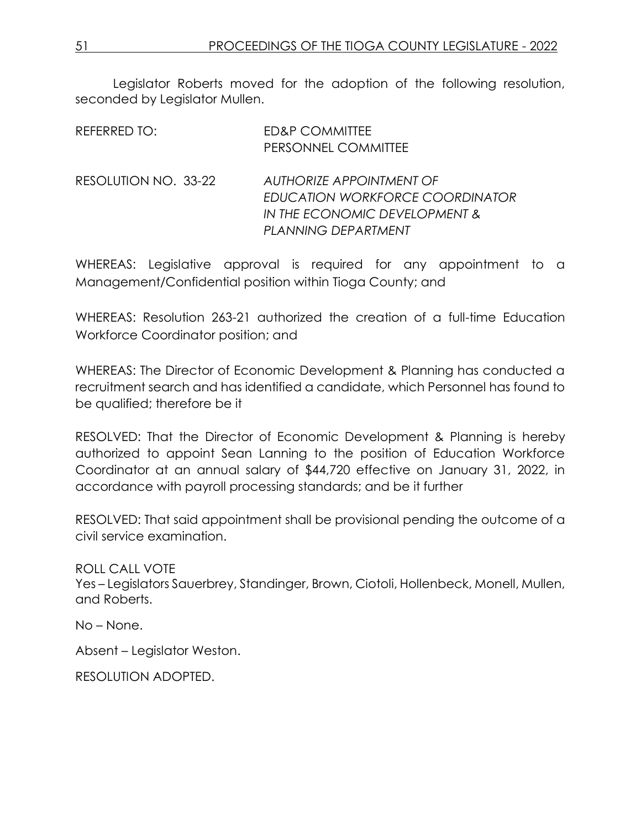Legislator Roberts moved for the adoption of the following resolution, seconded by Legislator Mullen.

| REFERRED TO:         | <b>ED&amp;P COMMITTEE</b><br>PERSONNEL COMMITTEE                                                                    |
|----------------------|---------------------------------------------------------------------------------------------------------------------|
| RESOLUTION NO. 33-22 | AUTHORIZE APPOINTMENT OF<br>EDUCATION WORKFORCE COORDINATOR<br>IN THE ECONOMIC DEVELOPMENT &<br>PLANNING DEPARTMENT |

WHEREAS: Legislative approval is required for any appointment to a Management/Confidential position within Tioga County; and

WHEREAS: Resolution 263-21 authorized the creation of a full-time Education Workforce Coordinator position; and

WHEREAS: The Director of Economic Development & Planning has conducted a recruitment search and has identified a candidate, which Personnel has found to be qualified; therefore be it

RESOLVED: That the Director of Economic Development & Planning is hereby authorized to appoint Sean Lanning to the position of Education Workforce Coordinator at an annual salary of \$44,720 effective on January 31, 2022, in accordance with payroll processing standards; and be it further

RESOLVED: That said appointment shall be provisional pending the outcome of a civil service examination.

ROLL CALL VOTE Yes – Legislators Sauerbrey, Standinger, Brown, Ciotoli, Hollenbeck, Monell, Mullen, and Roberts.

No – None.

Absent – Legislator Weston.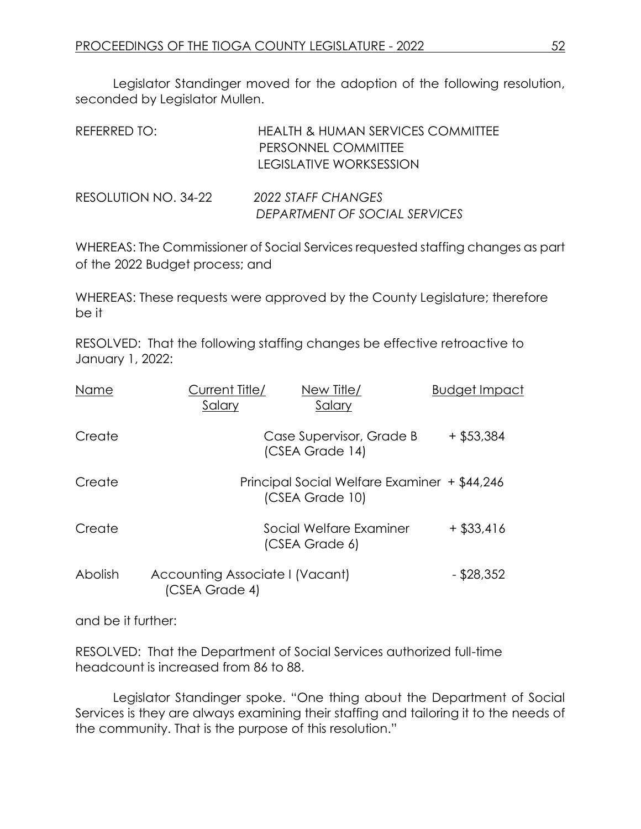Legislator Standinger moved for the adoption of the following resolution, seconded by Legislator Mullen.

| REFERRED TO:         | <b>HEALTH &amp; HUMAN SERVICES COMMITTEE</b><br>PERSONNEL COMMITTEE<br><b>LEGISLATIVE WORKSESSION</b> |
|----------------------|-------------------------------------------------------------------------------------------------------|
| RESOLUTION NO. 34-22 | 2022 STAFF CHANGES<br>DEPARTMENT OF SOCIAL SERVICES                                                   |

WHEREAS: The Commissioner of Social Services requested staffing changes as part of the 2022 Budget process; and

WHEREAS: These requests were approved by the County Legislature; therefore be it

RESOLVED: That the following staffing changes be effective retroactive to January 1, 2022:

| Name    | Current Title/<br>Salary                          | New Title/<br>Salary                                            | <b>Budget Impact</b> |
|---------|---------------------------------------------------|-----------------------------------------------------------------|----------------------|
| Create  |                                                   | Case Supervisor, Grade B<br>(CSEA Grade 14)                     | $+$ \$53,384         |
| Create  |                                                   | Principal Social Welfare Examiner + \$44,246<br>(CSEA Grade 10) |                      |
| Create  |                                                   | Social Welfare Examiner<br>(CSEA Grade 6)                       | $+$ \$33,416         |
| Abolish | Accounting Associate I (Vacant)<br>(CSEA Grade 4) |                                                                 | $-$ \$28,352         |

and be it further:

RESOLVED: That the Department of Social Services authorized full-time headcount is increased from 86 to 88.

Legislator Standinger spoke. "One thing about the Department of Social Services is they are always examining their staffing and tailoring it to the needs of the community. That is the purpose of this resolution."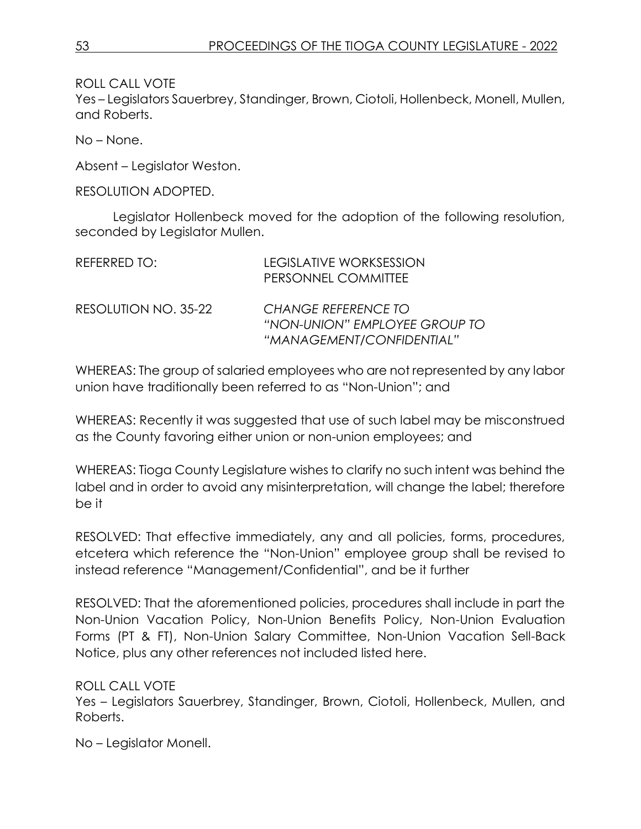ROLL CALL VOTE

Yes – Legislators Sauerbrey, Standinger, Brown, Ciotoli, Hollenbeck, Monell, Mullen, and Roberts.

No – None.

Absent – Legislator Weston.

RESOLUTION ADOPTED.

Legislator Hollenbeck moved for the adoption of the following resolution, seconded by Legislator Mullen.

| REFERRED TO:         | <b>LEGISLATIVE WORKSESSION</b><br>PERSONNEL COMMITTEE                                    |
|----------------------|------------------------------------------------------------------------------------------|
| RESOLUTION NO. 35-22 | <b>CHANGE REFERENCE TO</b><br>"NON-UNION" EMPLOYEE GROUP TO<br>"MANAGEMENT/CONFIDENTIAL" |

WHEREAS: The group of salaried employees who are not represented by any labor union have traditionally been referred to as "Non-Union"; and

WHEREAS: Recently it was suggested that use of such label may be misconstrued as the County favoring either union or non-union employees; and

WHEREAS: Tioga County Legislature wishes to clarify no such intent was behind the label and in order to avoid any misinterpretation, will change the label; therefore be it

RESOLVED: That effective immediately, any and all policies, forms, procedures, etcetera which reference the "Non-Union" employee group shall be revised to instead reference "Management/Confidential", and be it further

RESOLVED: That the aforementioned policies, procedures shall include in part the Non-Union Vacation Policy, Non-Union Benefits Policy, Non-Union Evaluation Forms (PT & FT), Non-Union Salary Committee, Non-Union Vacation Sell-Back Notice, plus any other references not included listed here.

#### ROLL CALL VOTE

Yes – Legislators Sauerbrey, Standinger, Brown, Ciotoli, Hollenbeck, Mullen, and Roberts.

No – Legislator Monell.